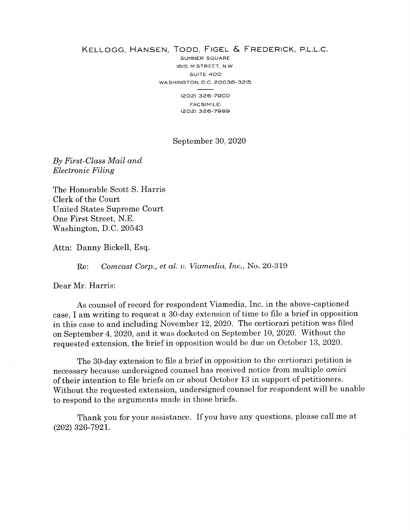## KELLOGG, HANSEN, TODD, FIGEL & FREDERICK, P.L.L.C.

SUMNER SQUARE 16I5 M STREET, N.W. SUITE 4OO WASHINGTON, D.C. 20036-3215 (202) 326-7900 FACSIMILE:

t202) 3?6-7999

## September 30,2020

By First-Class Mail and Electronic Filing

The Honorable Scott S. Harris Clerk of the Court United States Supreme Court One First Street, N.E. Washington, D.C. <sup>20543</sup>

Attn: Danny Bickell, Esq

Re: Comcast Corp., et al. v. Viamedia, Inc., No. 20-319

Dear Mr. Harris

As counsel of record for respondent Viamedia, Inc. in the above-captioned case, I am writing to request a 30-day extension of time to file a brief in opposition in this case to and including November 12,2020. The certiorari petition was filed on September 4,2020, and it was docketed on September T0,2O20. Without the requested extension, the brief in opposition would be due on October 13, 2020.

The 30-day extension to file a brief in opposition to the certiorari petition is necessary because undersigned counsel has received notice from multiple *amici* of their intention to file briefs on or about October 13 in support of petitioners. Without the requested extension, undersigned counsel for respondent will be unable to respond to the arguments made in those briefs.

Thank you for your assistance. If you have any questions, please call me at (202) 326-792r.